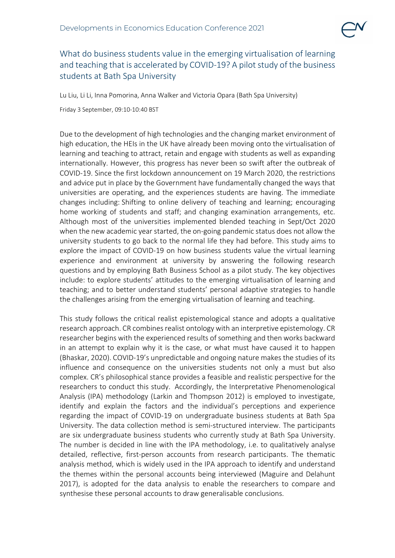

## What do business students value in the emerging virtualisation of learning and teaching that is accelerated by COVID-19? A pilot study of the business students at Bath Spa University

Lu Liu, Li Li, Inna Pomorina, Anna Walker and Victoria Opara (Bath Spa University)

Friday 3 September, 09:10-10:40 BST

Due to the development of high technologies and the changing market environment of high education, the HEIs in the UK have already been moving onto the virtualisation of learning and teaching to attract, retain and engage with students as well as expanding internationally. However, this progress has never been so swift after the outbreak of COVID-19. Since the first lockdown announcement on 19 March 2020, the restrictions and advice put in place by the Government have fundamentally changed the ways that universities are operating, and the experiences students are having. The immediate changes including: Shifting to online delivery of teaching and learning; encouraging home working of students and staff; and changing examination arrangements, etc. Although most of the universities implemented blended teaching in Sept/Oct 2020 when the new academic year started, the on-going pandemic status does not allow the university students to go back to the normal life they had before. This study aims to explore the impact of COVID-19 on how business students value the virtual learning experience and environment at university by answering the following research questions and by employing Bath Business School as a pilot study. The key objectives include: to explore students' attitudes to the emerging virtualisation of learning and teaching; and to better understand students' personal adaptive strategies to handle the challenges arising from the emerging virtualisation of learning and teaching.

This study follows the critical realist epistemological stance and adopts a qualitative research approach. CR combines realist ontology with an interpretive epistemology. CR researcher begins with the experienced results of something and then works backward in an attempt to explain why it is the case, or what must have caused it to happen (Bhaskar, 2020). COVID-19's unpredictable and ongoing nature makes the studies of its influence and consequence on the universities students not only a must but also complex. CR's philosophical stance provides a feasible and realistic perspective for the researchers to conduct this study. Accordingly, the Interpretative Phenomenological Analysis (IPA) methodology (Larkin and Thompson 2012) is employed to investigate, identify and explain the factors and the individual's perceptions and experience regarding the impact of COVID-19 on undergraduate business students at Bath Spa University. The data collection method is semi-structured interview. The participants are six undergraduate business students who currently study at Bath Spa University. The number is decided in line with the IPA methodology, i.e. to qualitatively analyse detailed, reflective, first-person accounts from research participants. The thematic analysis method, which is widely used in the IPA approach to identify and understand the themes within the personal accounts being interviewed (Maguire and Delahunt 2017), is adopted for the data analysis to enable the researchers to compare and synthesise these personal accounts to draw generalisable conclusions.